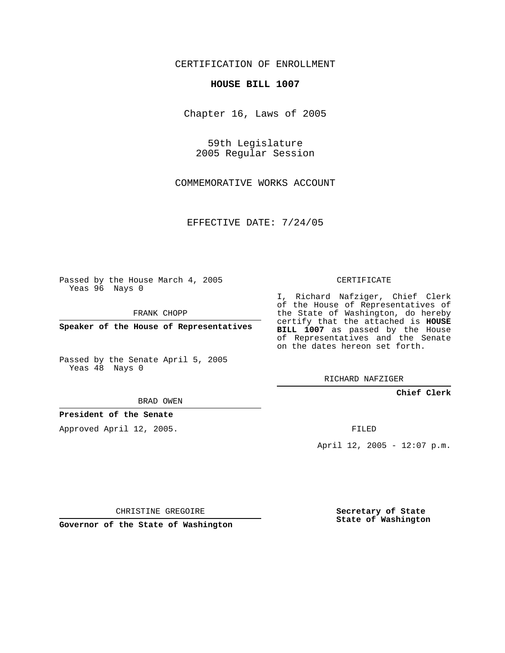CERTIFICATION OF ENROLLMENT

## **HOUSE BILL 1007**

Chapter 16, Laws of 2005

59th Legislature 2005 Regular Session

COMMEMORATIVE WORKS ACCOUNT

EFFECTIVE DATE: 7/24/05

Passed by the House March 4, 2005 Yeas 96 Nays 0

FRANK CHOPP

**Speaker of the House of Representatives**

Passed by the Senate April 5, 2005 Yeas 48 Nays 0

BRAD OWEN

**President of the Senate**

Approved April 12, 2005.

CERTIFICATE

I, Richard Nafziger, Chief Clerk of the House of Representatives of the State of Washington, do hereby certify that the attached is **HOUSE BILL 1007** as passed by the House of Representatives and the Senate on the dates hereon set forth.

RICHARD NAFZIGER

**Chief Clerk**

FILED

April 12, 2005 - 12:07 p.m.

CHRISTINE GREGOIRE

**Governor of the State of Washington**

**Secretary of State State of Washington**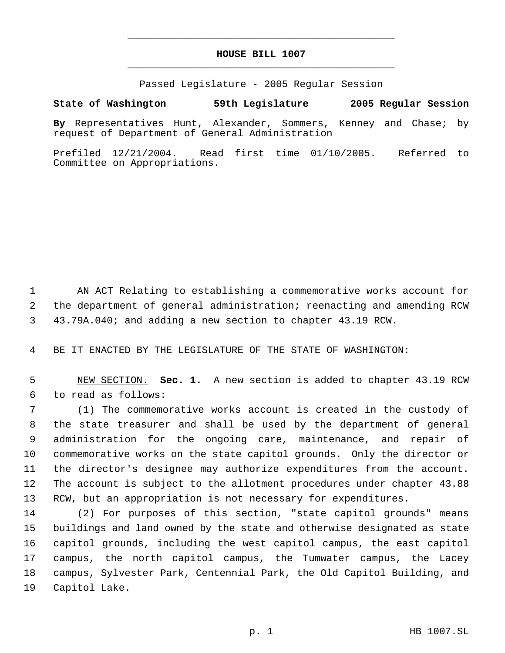## **HOUSE BILL 1007** \_\_\_\_\_\_\_\_\_\_\_\_\_\_\_\_\_\_\_\_\_\_\_\_\_\_\_\_\_\_\_\_\_\_\_\_\_\_\_\_\_\_\_\_\_

\_\_\_\_\_\_\_\_\_\_\_\_\_\_\_\_\_\_\_\_\_\_\_\_\_\_\_\_\_\_\_\_\_\_\_\_\_\_\_\_\_\_\_\_\_

Passed Legislature - 2005 Regular Session

## **State of Washington 59th Legislature 2005 Regular Session**

**By** Representatives Hunt, Alexander, Sommers, Kenney and Chase; by request of Department of General Administration

Prefiled 12/21/2004. Read first time 01/10/2005. Referred to Committee on Appropriations.

 AN ACT Relating to establishing a commemorative works account for the department of general administration; reenacting and amending RCW 43.79A.040; and adding a new section to chapter 43.19 RCW.

BE IT ENACTED BY THE LEGISLATURE OF THE STATE OF WASHINGTON:

 NEW SECTION. **Sec. 1.** A new section is added to chapter 43.19 RCW to read as follows:

 (1) The commemorative works account is created in the custody of the state treasurer and shall be used by the department of general administration for the ongoing care, maintenance, and repair of commemorative works on the state capitol grounds. Only the director or the director's designee may authorize expenditures from the account. The account is subject to the allotment procedures under chapter 43.88 RCW, but an appropriation is not necessary for expenditures.

 (2) For purposes of this section, "state capitol grounds" means buildings and land owned by the state and otherwise designated as state capitol grounds, including the west capitol campus, the east capitol campus, the north capitol campus, the Tumwater campus, the Lacey campus, Sylvester Park, Centennial Park, the Old Capitol Building, and Capitol Lake.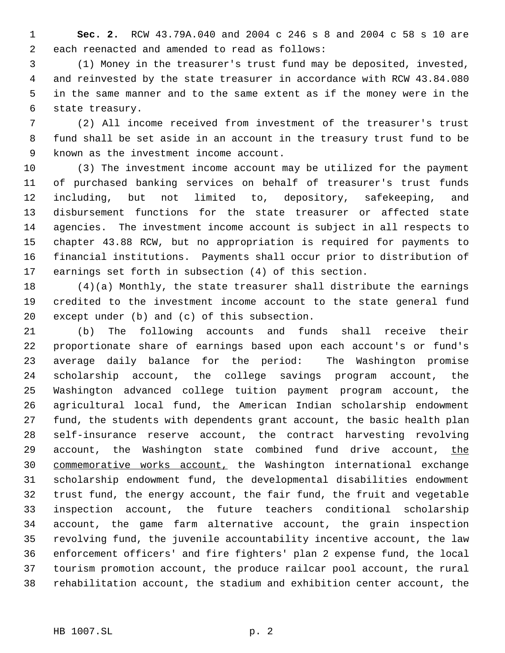**Sec. 2.** RCW 43.79A.040 and 2004 c 246 s 8 and 2004 c 58 s 10 are each reenacted and amended to read as follows:

 (1) Money in the treasurer's trust fund may be deposited, invested, and reinvested by the state treasurer in accordance with RCW 43.84.080 in the same manner and to the same extent as if the money were in the state treasury.

 (2) All income received from investment of the treasurer's trust fund shall be set aside in an account in the treasury trust fund to be known as the investment income account.

 (3) The investment income account may be utilized for the payment of purchased banking services on behalf of treasurer's trust funds including, but not limited to, depository, safekeeping, and disbursement functions for the state treasurer or affected state agencies. The investment income account is subject in all respects to chapter 43.88 RCW, but no appropriation is required for payments to financial institutions. Payments shall occur prior to distribution of earnings set forth in subsection (4) of this section.

 (4)(a) Monthly, the state treasurer shall distribute the earnings credited to the investment income account to the state general fund except under (b) and (c) of this subsection.

 (b) The following accounts and funds shall receive their proportionate share of earnings based upon each account's or fund's average daily balance for the period: The Washington promise scholarship account, the college savings program account, the Washington advanced college tuition payment program account, the agricultural local fund, the American Indian scholarship endowment fund, the students with dependents grant account, the basic health plan self-insurance reserve account, the contract harvesting revolving account, the Washington state combined fund drive account, the commemorative works account, the Washington international exchange scholarship endowment fund, the developmental disabilities endowment trust fund, the energy account, the fair fund, the fruit and vegetable inspection account, the future teachers conditional scholarship account, the game farm alternative account, the grain inspection revolving fund, the juvenile accountability incentive account, the law enforcement officers' and fire fighters' plan 2 expense fund, the local tourism promotion account, the produce railcar pool account, the rural rehabilitation account, the stadium and exhibition center account, the